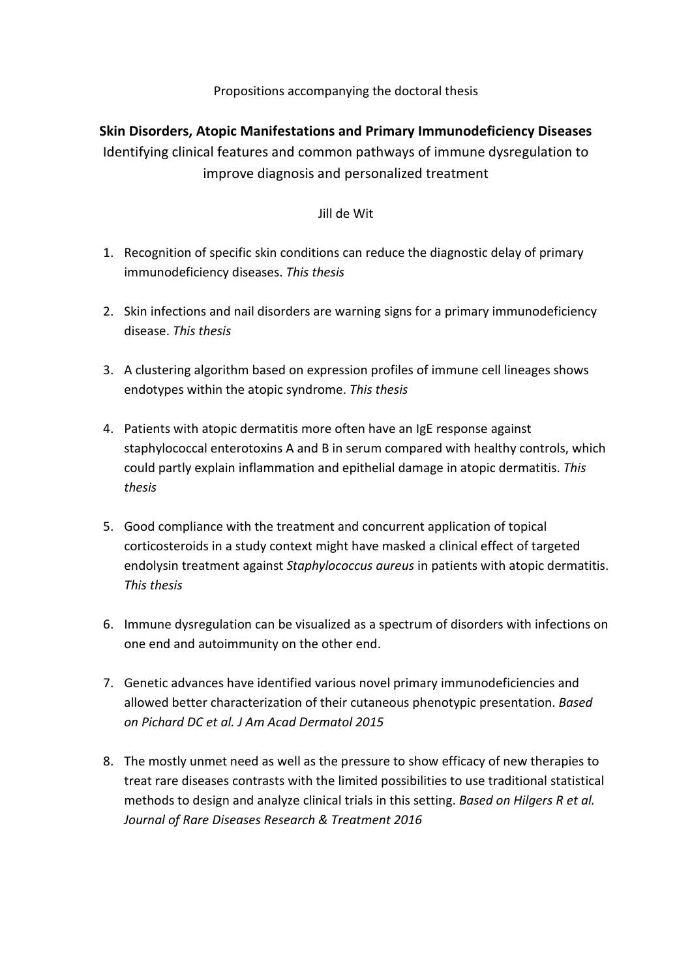## Propositions accompanying the doctoral thesis

## **Skin Disorders, Atopic Manifestations and Primary Immunodeficiency Diseases**

Identifying clinical features and common pathways of immune dysregulation to improve diagnosis and personalized treatment

## Jill de Wit

- 1. Recognition of specific skin conditions can reduce the diagnostic delay of primary immunodeficiency diseases. *This thesis*
- 2. Skin infections and nail disorders are warning signs for a primary immunodeficiency disease. *This thesis*
- 3. A clustering algorithm based on expression profiles of immune cell lineages shows endotypes within the atopic syndrome. *This thesis*
- 4. Patients with atopic dermatitis more often have an IgE response against staphylococcal enterotoxins A and B in serum compared with healthy controls, which could partly explain inflammation and epithelial damage in atopic dermatitis. *This thesis*
- 5. Good compliance with the treatment and concurrent application of topical corticosteroids in a study context might have masked a clinical effect of targeted endolysin treatment against *Staphylococcus aureus* in patients with atopic dermatitis. *This thesis*
- 6. Immune dysregulation can be visualized as a spectrum of disorders with infections on one end and autoimmunity on the other end.
- 7. Genetic advances have identified various novel primary immunodeficiencies and allowed better characterization of their cutaneous phenotypic presentation. *Based on Pichard DC et al. J Am Acad Dermatol 2015*
- 8. The mostly unmet need as well as the pressure to show efficacy of new therapies to treat rare diseases contrasts with the limited possibilities to use traditional statistical methods to design and analyze clinical trials in this setting. *Based on Hilgers R et al. Journal of Rare Diseases Research & Treatment 2016*